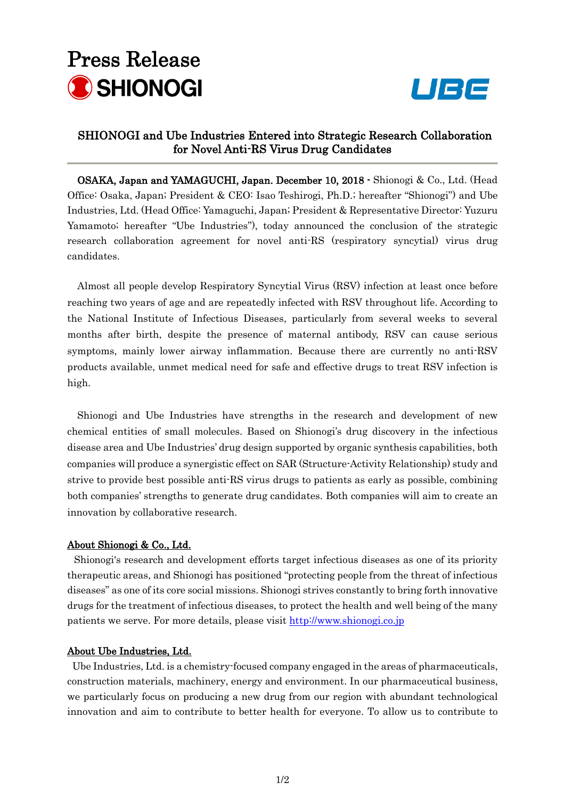## Press Release SHIONOGI



### SHIONOGI and Ube Industries Entered into Strategic Research Collaboration for Novel Anti-RS Virus Drug Candidates

OSAKA, Japan and YAMAGUCHI, Japan. December 10, 2018 - Shionogi & Co., Ltd. (Head Office: Osaka, Japan; President & CEO: Isao Teshirogi, Ph.D.; hereafter "Shionogi") and Ube Industries, Ltd. (Head Office: Yamaguchi, Japan; President & Representative Director: Yuzuru Yamamoto; hereafter "Ube Industries"), today announced the conclusion of the strategic research collaboration agreement for novel anti-RS (respiratory syncytial) virus drug candidates.

Almost all people develop Respiratory Syncytial Virus (RSV) infection at least once before reaching two years of age and are repeatedly infected with RSV throughout life. According to the National Institute of Infectious Diseases, particularly from several weeks to several months after birth, despite the presence of maternal antibody, RSV can cause serious symptoms, mainly lower airway inflammation. Because there are currently no anti-RSV products available, unmet medical need for safe and effective drugs to treat RSV infection is high.

Shionogi and Ube Industries have strengths in the research and development of new chemical entities of small molecules. Based on Shionogi's drug discovery in the infectious disease area and Ube Industries' drug design supported by organic synthesis capabilities, both companies will produce a synergistic effect on SAR (Structure-Activity Relationship) study and strive to provide best possible anti-RS virus drugs to patients as early as possible, combining both companies' strengths to generate drug candidates. Both companies will aim to create an innovation by collaborative research.

#### About Shionogi & Co., Ltd.

Shionogi's research and development efforts target infectious diseases as one of its priority therapeutic areas, and Shionogi has positioned "protecting people from the threat of infectious diseases" as one of its core social missions. Shionogi strives constantly to bring forth innovative drugs for the treatment of infectious diseases, to protect the health and well being of the many patients we serve. For more details, please visit [http://www.shionogi.co.jp](http://www.shionogi.co.jp/)

#### About Ube Industries, Ltd.

Ube Industries, Ltd. is a chemistry-focused company engaged in the areas of pharmaceuticals, construction materials, machinery, energy and environment. In our pharmaceutical business, we particularly focus on producing a new drug from our region with abundant technological innovation and aim to contribute to better health for everyone. To allow us to contribute to